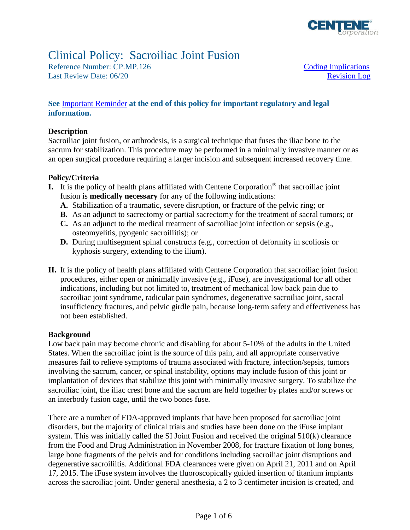

# Clinical Policy: Sacroiliac Joint Fusion

Reference Number: CP.MP.126 [Coding Implications](#page-1-0) Last Review Date: 06/20 **Review Date:** 06/20

### **See** [Important Reminder](#page-4-0) **at the end of this policy for important regulatory and legal information.**

#### **Description**

Sacroiliac joint fusion, or arthrodesis, is a surgical technique that fuses the iliac bone to the sacrum for stabilization. This procedure may be performed in a minimally invasive manner or as an open surgical procedure requiring a larger incision and subsequent increased recovery time.

### **Policy/Criteria**

- **I.** It is the policy of health plans affiliated with Centene Corporation® that sacroiliac joint fusion is **medically necessary** for any of the following indications:
	- **A.** Stabilization of a traumatic, severe disruption, or fracture of the pelvic ring; or
	- **B.** As an adjunct to sacrectomy or partial sacrectomy for the treatment of sacral tumors; or
	- **C.** As an adjunct to the medical treatment of sacroiliac joint infection or sepsis (e.g., osteomyelitis, pyogenic sacroiliitis); or
	- **D.** During multisegment spinal constructs (e.g., correction of deformity in scoliosis or kyphosis surgery, extending to the ilium).
- **II.** It is the policy of health plans affiliated with Centene Corporation that sacroiliac joint fusion procedures, either open or minimally invasive (e.g., iFuse), are investigational for all other indications, including but not limited to, treatment of mechanical low back pain due to sacroiliac joint syndrome, radicular pain syndromes, degenerative sacroiliac joint, sacral insufficiency fractures, and pelvic girdle pain, because long-term safety and effectiveness has not been established.

#### **Background**

Low back pain may become chronic and disabling for about 5-10% of the adults in the United States. When the sacroiliac joint is the source of this pain, and all appropriate conservative measures fail to relieve symptoms of trauma associated with fracture, infection/sepsis, tumors involving the sacrum, cancer, or spinal instability, options may include fusion of this joint or implantation of devices that stabilize this joint with minimally invasive surgery. To stabilize the sacroiliac joint, the iliac crest bone and the sacrum are held together by plates and/or screws or an interbody fusion cage, until the two bones fuse.

There are a number of FDA-approved implants that have been proposed for sacroiliac joint disorders, but the majority of clinical trials and studies have been done on the iFuse implant system. This was initially called the SI Joint Fusion and received the original 510(k) clearance from the Food and Drug Administration in November 2008, for fracture fixation of long bones, large bone fragments of the pelvis and for conditions including sacroiliac joint disruptions and degenerative sacroiliitis. Additional FDA clearances were given on April 21, 2011 and on April 17, 2015. The iFuse system involves the fluoroscopically guided insertion of titanium implants across the sacroiliac joint. Under general anesthesia, a 2 to 3 centimeter incision is created, and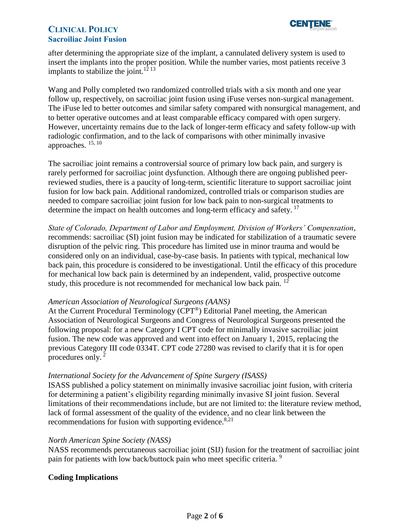

after determining the appropriate size of the implant, a cannulated delivery system is used to insert the implants into the proper position. While the number varies, most patients receive 3 implants to stabilize the joint.<sup>12 13</sup>

Wang and Polly completed two randomized controlled trials with a six month and one year follow up, respectively, on sacroiliac joint fusion using iFuse verses non-surgical management. The iFuse led to better outcomes and similar safety compared with nonsurgical management, and to better operative outcomes and at least comparable efficacy compared with open surgery. However, uncertainty remains due to the lack of longer-term efficacy and safety follow-up with radiologic confirmation, and to the lack of comparisons with other minimally invasive approaches. 15, <sup>10</sup>

The sacroiliac joint remains a controversial source of primary low back pain, and surgery is rarely performed for sacroiliac joint dysfunction. Although there are ongoing published peerreviewed studies, there is a paucity of long-term, scientific literature to support sacroiliac joint fusion for low back pain. Additional randomized, controlled trials or comparison studies are needed to compare sacroiliac joint fusion for low back pain to non-surgical treatments to determine the impact on health outcomes and long-term efficacy and safety.<sup>17</sup>

*State of Colorado, Department of Labor and Employment, Division of Workers' Compensation*, recommends: sacroiliac (SI) joint fusion may be indicated for stabilization of a traumatic severe disruption of the pelvic ring. This procedure has limited use in minor trauma and would be considered only on an individual, case-by-case basis. In patients with typical, mechanical low back pain, this procedure is considered to be investigational. Until the efficacy of this procedure for mechanical low back pain is determined by an independent, valid, prospective outcome study, this procedure is not recommended for mechanical low back pain. <sup>12</sup>

#### *American Association of Neurological Surgeons (AANS)*

At the Current Procedural Terminology (CPT®) Editorial Panel meeting, the American Association of Neurological Surgeons and Congress of Neurological Surgeons presented the following proposal: for a new Category I CPT code for minimally invasive sacroiliac joint fusion. The new code was approved and went into effect on January 1, 2015, replacing the previous Category III code 0334T. CPT code 27280 was revised to clarify that it is for open procedures only. <sup>2</sup>

#### *International Society for the Advancement of Spine Surgery (ISASS)*

ISASS published a policy statement on minimally invasive sacroiliac joint fusion, with criteria for determining a patient's eligibility regarding minimally invasive SI joint fusion. Several limitations of their recommendations include, but are not limited to: the literature review method, lack of formal assessment of the quality of the evidence, and no clear link between the recommendations for fusion with supporting evidence. $8,21$ 

#### *North American Spine Society (NASS)*

NASS recommends percutaneous sacroiliac joint (SIJ) fusion for the treatment of sacroiliac joint pain for patients with low back/buttock pain who meet specific criteria.<sup>9</sup>

#### <span id="page-1-0"></span>**Coding Implications**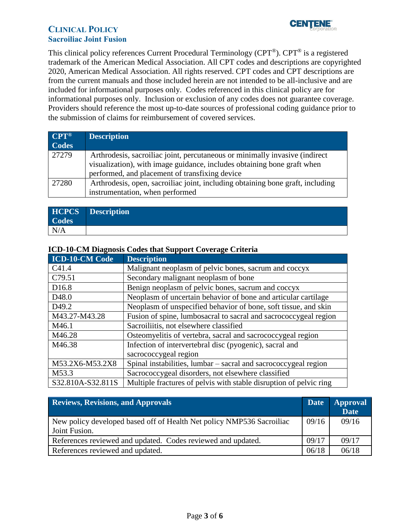

This clinical policy references Current Procedural Terminology (CPT®). CPT® is a registered trademark of the American Medical Association. All CPT codes and descriptions are copyrighted 2020, American Medical Association. All rights reserved. CPT codes and CPT descriptions are from the current manuals and those included herein are not intended to be all-inclusive and are included for informational purposes only. Codes referenced in this clinical policy are for informational purposes only. Inclusion or exclusion of any codes does not guarantee coverage. Providers should reference the most up-to-date sources of professional coding guidance prior to the submission of claims for reimbursement of covered services.

| $CPT^{\circledR}$<br>Codes | <b>Description</b>                                                                                                                                                                                       |
|----------------------------|----------------------------------------------------------------------------------------------------------------------------------------------------------------------------------------------------------|
| 27279                      | Arthrodesis, sacroiliac joint, percutaneous or minimally invasive (indirect<br>visualization), with image guidance, includes obtaining bone graft when<br>performed, and placement of transfixing device |
| 27280                      | Arthrodesis, open, sacroiliac joint, including obtaining bone graft, including<br>instrumentation, when performed                                                                                        |

| <b>Codes</b> | <b>HCPCS Description</b> |
|--------------|--------------------------|
| N/A          |                          |

### **ICD-10-CM Diagnosis Codes that Support Coverage Criteria**

| <b>ICD-10-CM Code</b> | <b>Description</b>                                                 |
|-----------------------|--------------------------------------------------------------------|
| C41.4                 | Malignant neoplasm of pelvic bones, sacrum and coccyx              |
| C79.51                | Secondary malignant neoplasm of bone                               |
| D16.8                 | Benign neoplasm of pelvic bones, sacrum and coccyx                 |
| D <sub>48.0</sub>     | Neoplasm of uncertain behavior of bone and articular cartilage     |
| D <sub>49.2</sub>     | Neoplasm of unspecified behavior of bone, soft tissue, and skin    |
| M43.27-M43.28         | Fusion of spine, lumbosacral to sacral and sacrococcygeal region   |
| M46.1                 | Sacroiliitis, not elsewhere classified                             |
| M46.28                | Osteomyelitis of vertebra, sacral and sacrococcygeal region        |
| M46.38                | Infection of intervertebral disc (pyogenic), sacral and            |
|                       | sacrococcygeal region                                              |
| M53.2X6-M53.2X8       | Spinal instabilities, lumbar – sacral and sacrococcygeal region    |
| M53.3                 | Sacrococcygeal disorders, not elsewhere classified                 |
| S32.810A-S32.811S     | Multiple fractures of pelvis with stable disruption of pelvic ring |

<span id="page-2-0"></span>

| <b>Reviews, Revisions, and Approvals</b>                                               | <b>Date</b> | <b>Approval</b><br><b>Date</b> |
|----------------------------------------------------------------------------------------|-------------|--------------------------------|
| New policy developed based off of Health Net policy NMP536 Sacroiliac<br>Joint Fusion. | 09/16       | 09/16                          |
| References reviewed and updated. Codes reviewed and updated.                           | 09/17       | 09/17                          |
| References reviewed and updated.                                                       |             | 06/18                          |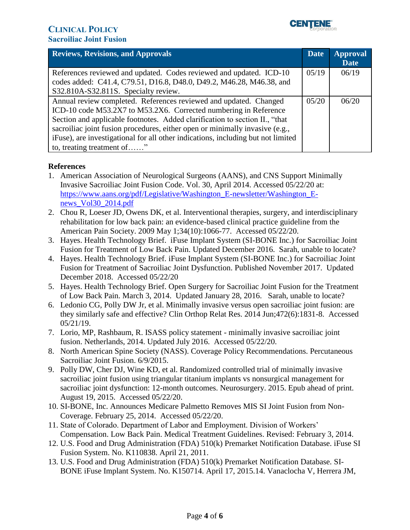

| <b>Reviews, Revisions, and Approvals</b>                                                                                                                         | <b>Date</b> | <b>Approval</b><br><b>Date</b> |
|------------------------------------------------------------------------------------------------------------------------------------------------------------------|-------------|--------------------------------|
| References reviewed and updated. Codes reviewed and updated. ICD-10<br>codes added: C41.4, C79.51, D16.8, D48.0, D49.2, M46.28, M46.38, and                      | 05/19       | 06/19                          |
| S32.810A-S32.811S. Specialty review.                                                                                                                             |             |                                |
| Annual review completed. References reviewed and updated. Changed<br>ICD-10 code M53.2X7 to M53.2X6. Corrected numbering in Reference                            | 05/20       | 06/20                          |
| Section and applicable footnotes. Added clarification to section II., "that                                                                                      |             |                                |
| sacroiliac joint fusion procedures, either open or minimally invasive (e.g.,<br>iFuse), are investigational for all other indications, including but not limited |             |                                |
| to, treating treatment of"                                                                                                                                       |             |                                |

## **References**

- 1. American Association of Neurological Surgeons (AANS), and CNS Support Minimally Invasive Sacroiliac Joint Fusion Code. Vol. 30, April 2014. Accessed 05/22/20 at: [https://www.aans.org/pdf/Legislative/Washington\\_E-newsletter/Washington\\_E](https://www.aans.org/pdf/Legislative/Washington_E-newsletter/Washington_E-news_Vol30_2014.pdf)[news\\_Vol30\\_2014.pdf](https://www.aans.org/pdf/Legislative/Washington_E-newsletter/Washington_E-news_Vol30_2014.pdf)
- 2. [Chou R,](http://www.ncbi.nlm.nih.gov/pubmed/?term=Chou%20R%5BAuthor%5D&cauthor=true&cauthor_uid=19363457) [Loeser JD,](http://www.ncbi.nlm.nih.gov/pubmed/?term=Loeser%20JD%5BAuthor%5D&cauthor=true&cauthor_uid=19363457) [Owens DK,](http://www.ncbi.nlm.nih.gov/pubmed/?term=Owens%20DK%5BAuthor%5D&cauthor=true&cauthor_uid=19363457) et al. Interventional therapies, surgery, and interdisciplinary rehabilitation for low back pain: an evidence-based clinical practice guideline from the American Pain Society. 2009 May 1;34(10):1066-77. Accessed 05/22/20.
- 3. Hayes. Health Technology Brief. iFuse Implant System (SI-BONE Inc.) for Sacroiliac Joint Fusion for Treatment of Low Back Pain. Updated December 2016. Sarah, unable to locate?
- 4. Hayes. Health Technology Brief. iFuse Implant System (SI-BONE Inc.) for Sacroiliac Joint Fusion for Treatment of Sacroiliac Joint Dysfunction. Published November 2017. Updated December 2018. Accessed 05/22/20
- 5. Hayes. Health Technology Brief. Open Surgery for Sacroiliac Joint Fusion for the Treatment of Low Back Pain. March 3, 2014. Updated January 28, 2016. Sarah, unable to locate?
- 6. Ledonio CG, Polly DW Jr, et al. Minimally invasive versus open sacroiliac joint fusion: are they similarly safe and effective? Clin Orthop Relat Res. 2014 Jun;472(6):1831-8. Accessed 05/21/19.
- 7. Lorio, MP, Rashbaum, R. ISASS policy statement minimally invasive sacroiliac joint fusion. Netherlands, 2014. Updated July 2016. Accessed 05/22/20.
- 8. North American Spine Society (NASS). Coverage Policy Recommendations. Percutaneous Sacroiliac Joint Fusion. 6/9/2015.
- 9. Polly DW, Cher DJ, Wine KD, et al. Randomized controlled trial of minimally invasive sacroiliac joint fusion using triangular titanium implants vs nonsurgical management for sacroiliac joint dysfunction: 12-month outcomes. Neurosurgery. 2015. Epub ahead of print. August 19, 2015. Accessed 05/22/20.
- 10. SI-BONE, Inc. Announces Medicare Palmetto Removes MIS SI Joint Fusion from Non-Coverage. February 25, 2014. Accessed 05/22/20.
- 11. State of Colorado. Department of Labor and Employment. Division of Workers' Compensation. Low Back Pain. Medical Treatment Guidelines. Revised: February 3, 2014.
- 12. U.S. Food and Drug Administration (FDA) 510(k) Premarket Notification Database. iFuse SI Fusion System. No. K110838. April 21, 2011.
- 13. U.S. Food and Drug Administration (FDA) 510(k) Premarket Notification Database. SI-BONE iFuse Implant System. No. K150714. April 17, 2015.14. Vanaclocha V, Herrera JM,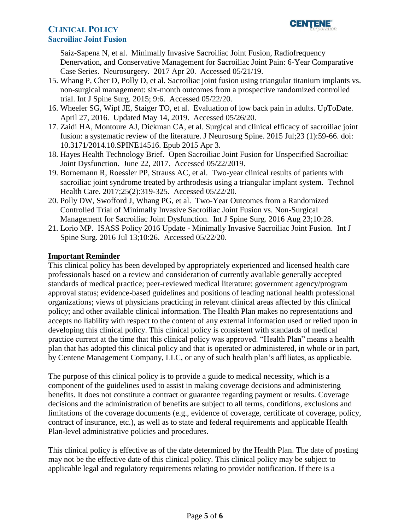Saiz-Sapena N, et al. Minimally Invasive Sacroiliac Joint Fusion, Radiofrequency Denervation, and Conservative Management for Sacroiliac Joint Pain: 6-Year Comparative Case Series. Neurosurgery. 2017 Apr 20. Accessed 05/21/19.

- 15. Whang P, Cher D, Polly D, et al. Sacroiliac joint fusion using triangular titanium implants vs. non-surgical management: six-month outcomes from a prospective randomized controlled trial. Int J Spine Surg. 2015; 9:6. Accessed 05/22/20.
- 16. Wheeler SG, Wipf JE, Staiger TO, et al. Evaluation of low back pain in adults. UpToDate. April 27, 2016. Updated May 14, 2019. Accessed 05/26/20.
- 17. Zaidi HA, Montoure AJ, Dickman CA, et al. Surgical and clinical efficacy of sacroiliac joint fusion: a systematic review of the literature. J Neurosurg Spine. 2015 Jul;23 (1):59-66. doi: 10.3171/2014.10.SPINE14516. Epub 2015 Apr 3.
- 18. Hayes Health Technology Brief. Open Sacroiliac Joint Fusion for Unspecified Sacroiliac Joint Dysfunction. June 22, 2017. Accessed 05/22/2019.
- 19. Bornemann R, Roessler PP, Strauss AC, et al. Two-year clinical results of patients with sacroiliac joint syndrome treated by arthrodesis using a triangular implant system. Technol Health Care. 2017;25(2):319-325. Accessed 05/22/20.
- 20. Polly DW, Swofford J, Whang PG, et al. Two-Year Outcomes from a Randomized Controlled Trial of Minimally Invasive Sacroiliac Joint Fusion vs. Non-Surgical Management for Sacroiliac Joint Dysfunction. Int J Spine Surg. 2016 Aug 23;10:28.
- 21. Lorio MP. ISASS Policy 2016 Update Minimally Invasive Sacroiliac Joint Fusion. Int J Spine Surg. 2016 Jul 13;10:26. Accessed 05/22/20.

## <span id="page-4-0"></span>**Important Reminder**

This clinical policy has been developed by appropriately experienced and licensed health care professionals based on a review and consideration of currently available generally accepted standards of medical practice; peer-reviewed medical literature; government agency/program approval status; evidence-based guidelines and positions of leading national health professional organizations; views of physicians practicing in relevant clinical areas affected by this clinical policy; and other available clinical information. The Health Plan makes no representations and accepts no liability with respect to the content of any external information used or relied upon in developing this clinical policy. This clinical policy is consistent with standards of medical practice current at the time that this clinical policy was approved. "Health Plan" means a health plan that has adopted this clinical policy and that is operated or administered, in whole or in part, by Centene Management Company, LLC, or any of such health plan's affiliates, as applicable.

The purpose of this clinical policy is to provide a guide to medical necessity, which is a component of the guidelines used to assist in making coverage decisions and administering benefits. It does not constitute a contract or guarantee regarding payment or results. Coverage decisions and the administration of benefits are subject to all terms, conditions, exclusions and limitations of the coverage documents (e.g., evidence of coverage, certificate of coverage, policy, contract of insurance, etc.), as well as to state and federal requirements and applicable Health Plan-level administrative policies and procedures.

This clinical policy is effective as of the date determined by the Health Plan. The date of posting may not be the effective date of this clinical policy. This clinical policy may be subject to applicable legal and regulatory requirements relating to provider notification. If there is a